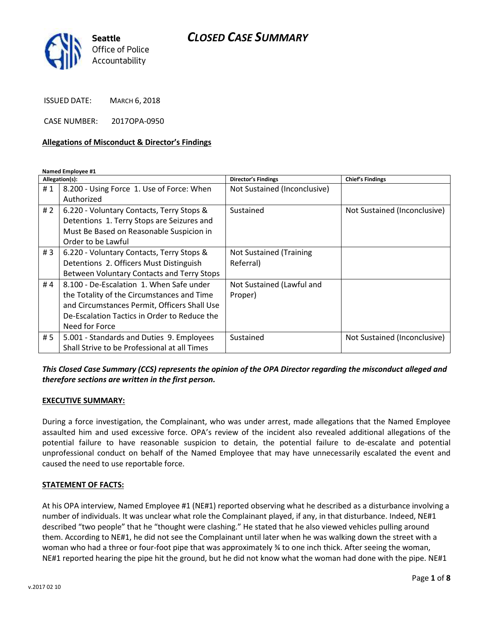### *CLOSED CASE SUMMARY*



ISSUED DATE: MARCH 6, 2018

CASE NUMBER: 2017OPA-0950

#### **Allegations of Misconduct & Director's Findings**

**Named Employee #1**

| Allegation(s): |                                              | Director's Findings            | <b>Chief's Findings</b>      |
|----------------|----------------------------------------------|--------------------------------|------------------------------|
| #1             | 8.200 - Using Force 1. Use of Force: When    | Not Sustained (Inconclusive)   |                              |
|                | Authorized                                   |                                |                              |
| # $2$          | 6.220 - Voluntary Contacts, Terry Stops &    | Sustained                      | Not Sustained (Inconclusive) |
|                | Detentions 1. Terry Stops are Seizures and   |                                |                              |
|                | Must Be Based on Reasonable Suspicion in     |                                |                              |
|                | Order to be Lawful                           |                                |                              |
| #3             | 6.220 - Voluntary Contacts, Terry Stops &    | <b>Not Sustained (Training</b> |                              |
|                | Detentions 2. Officers Must Distinguish      | Referral)                      |                              |
|                | Between Voluntary Contacts and Terry Stops   |                                |                              |
| #4             | 8.100 - De-Escalation 1. When Safe under     | Not Sustained (Lawful and      |                              |
|                | the Totality of the Circumstances and Time   | Proper)                        |                              |
|                | and Circumstances Permit, Officers Shall Use |                                |                              |
|                | De-Escalation Tactics in Order to Reduce the |                                |                              |
|                | Need for Force                               |                                |                              |
| #5             | 5.001 - Standards and Duties 9. Employees    | Sustained                      | Not Sustained (Inconclusive) |
|                | Shall Strive to be Professional at all Times |                                |                              |

### *This Closed Case Summary (CCS) represents the opinion of the OPA Director regarding the misconduct alleged and therefore sections are written in the first person.*

#### **EXECUTIVE SUMMARY:**

During a force investigation, the Complainant, who was under arrest, made allegations that the Named Employee assaulted him and used excessive force. OPA's review of the incident also revealed additional allegations of the potential failure to have reasonable suspicion to detain, the potential failure to de-escalate and potential unprofessional conduct on behalf of the Named Employee that may have unnecessarily escalated the event and caused the need to use reportable force.

#### **STATEMENT OF FACTS:**

At his OPA interview, Named Employee #1 (NE#1) reported observing what he described as a disturbance involving a number of individuals. It was unclear what role the Complainant played, if any, in that disturbance. Indeed, NE#1 described "two people" that he "thought were clashing." He stated that he also viewed vehicles pulling around them. According to NE#1, he did not see the Complainant until later when he was walking down the street with a woman who had a three or four-foot pipe that was approximately % to one inch thick. After seeing the woman, NE#1 reported hearing the pipe hit the ground, but he did not know what the woman had done with the pipe. NE#1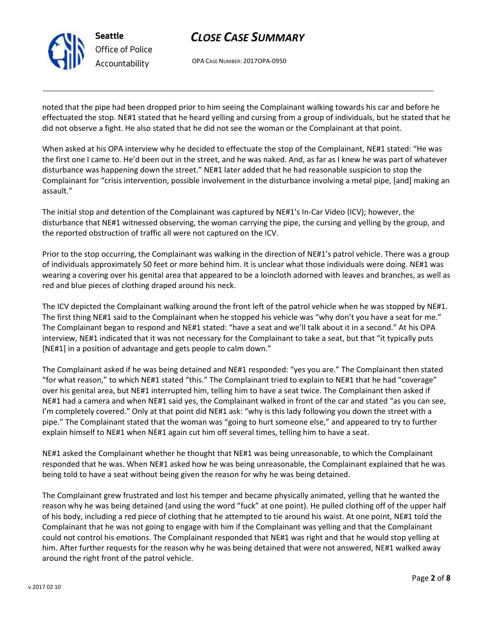

**Seattle** *Office of Police Accountability*

# *CLOSE CASE SUMMARY*

OPA CASE NUMBER: 2017OPA-0950

noted that the pipe had been dropped prior to him seeing the Complainant walking towards his car and before he effectuated the stop. NE#1 stated that he heard yelling and cursing from a group of individuals, but he stated that he did not observe a fight. He also stated that he did not see the woman or the Complainant at that point.

When asked at his OPA interview why he decided to effectuate the stop of the Complainant, NE#1 stated: "He was the first one I came to. He'd been out in the street, and he was naked. And, as far as I knew he was part of whatever disturbance was happening down the street." NE#1 later added that he had reasonable suspicion to stop the Complainant for "crisis intervention, possible involvement in the disturbance involving a metal pipe, [and] making an assault."

The initial stop and detention of the Complainant was captured by NE#1's In-Car Video (ICV); however, the disturbance that NE#1 witnessed observing, the woman carrying the pipe, the cursing and yelling by the group, and the reported obstruction of traffic all were not captured on the ICV.

Prior to the stop occurring, the Complainant was walking in the direction of NE#1's patrol vehicle. There was a group of individuals approximately 50 feet or more behind him. It is unclear what those individuals were doing. NE#1 was wearing a covering over his genital area that appeared to be a loincloth adorned with leaves and branches, as well as red and blue pieces of clothing draped around his neck.

The ICV depicted the Complainant walking around the front left of the patrol vehicle when he was stopped by NE#1. The first thing NE#1 said to the Complainant when he stopped his vehicle was "why don't you have a seat for me." The Complainant began to respond and NE#1 stated: "have a seat and we'll talk about it in a second." At his OPA interview, NE#1 indicated that it was not necessary for the Complainant to take a seat, but that "it typically puts [NE#1] in a position of advantage and gets people to calm down."

The Complainant asked if he was being detained and NE#1 responded: "yes you are." The Complainant then stated "for what reason," to which NE#1 stated "this." The Complainant tried to explain to NE#1 that he had "coverage" over his genital area, but NE#1 interrupted him, telling him to have a seat twice. The Complainant then asked if NE#1 had a camera and when NE#1 said yes, the Complainant walked in front of the car and stated "as you can see, I'm completely covered." Only at that point did NE#1 ask: "why is this lady following you down the street with a pipe." The Complainant stated that the woman was "going to hurt someone else," and appeared to try to further explain himself to NE#1 when NE#1 again cut him off several times, telling him to have a seat.

NE#1 asked the Complainant whether he thought that NE#1 was being unreasonable, to which the Complainant responded that he was. When NE#1 asked how he was being unreasonable, the Complainant explained that he was being told to have a seat without being given the reason for why he was being detained.

The Complainant grew frustrated and lost his temper and became physically animated, yelling that he wanted the reason why he was being detained (and using the word "fuck" at one point). He pulled clothing off of the upper half of his body, including a red piece of clothing that he attempted to tie around his waist. At one point, NE#1 told the Complainant that he was not going to engage with him if the Complainant was yelling and that the Complainant could not control his emotions. The Complainant responded that NE#1 was right and that he would stop yelling at him. After further requests for the reason why he was being detained that were not answered, NE#1 walked away around the right front of the patrol vehicle.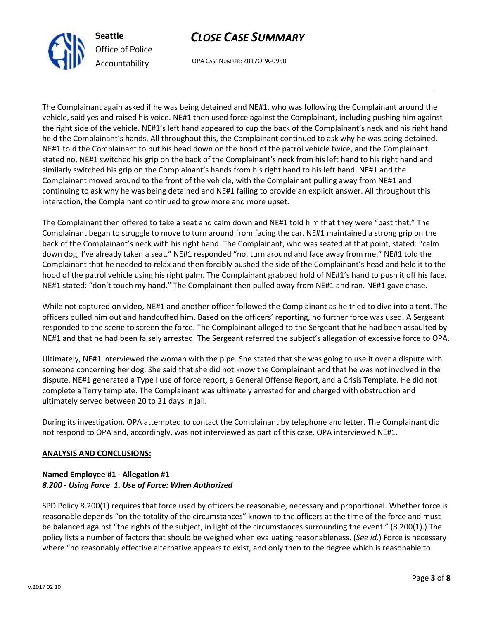

# *Office of Police Accountability*

## *CLOSE CASE SUMMARY*

OPA CASE NUMBER: 2017OPA-0950

The Complainant again asked if he was being detained and NE#1, who was following the Complainant around the vehicle, said yes and raised his voice. NE#1 then used force against the Complainant, including pushing him against the right side of the vehicle. NE#1's left hand appeared to cup the back of the Complainant's neck and his right hand held the Complainant's hands. All throughout this, the Complainant continued to ask why he was being detained. NE#1 told the Complainant to put his head down on the hood of the patrol vehicle twice, and the Complainant stated no. NE#1 switched his grip on the back of the Complainant's neck from his left hand to his right hand and similarly switched his grip on the Complainant's hands from his right hand to his left hand. NE#1 and the Complainant moved around to the front of the vehicle, with the Complainant pulling away from NE#1 and continuing to ask why he was being detained and NE#1 failing to provide an explicit answer. All throughout this interaction, the Complainant continued to grow more and more upset.

The Complainant then offered to take a seat and calm down and NE#1 told him that they were "past that." The Complainant began to struggle to move to turn around from facing the car. NE#1 maintained a strong grip on the back of the Complainant's neck with his right hand. The Complainant, who was seated at that point, stated: "calm down dog, I've already taken a seat." NE#1 responded "no, turn around and face away from me." NE#1 told the Complainant that he needed to relax and then forcibly pushed the side of the Complainant's head and held it to the hood of the patrol vehicle using his right palm. The Complainant grabbed hold of NE#1's hand to push it off his face. NE#1 stated: "don't touch my hand." The Complainant then pulled away from NE#1 and ran. NE#1 gave chase.

While not captured on video, NE#1 and another officer followed the Complainant as he tried to dive into a tent. The officers pulled him out and handcuffed him. Based on the officers' reporting, no further force was used. A Sergeant responded to the scene to screen the force. The Complainant alleged to the Sergeant that he had been assaulted by NE#1 and that he had been falsely arrested. The Sergeant referred the subject's allegation of excessive force to OPA.

Ultimately, NE#1 interviewed the woman with the pipe. She stated that she was going to use it over a dispute with someone concerning her dog. She said that she did not know the Complainant and that he was not involved in the dispute. NE#1 generated a Type I use of force report, a General Offense Report, and a Crisis Template. He did not complete a Terry template. The Complainant was ultimately arrested for and charged with obstruction and ultimately served between 20 to 21 days in jail.

During its investigation, OPA attempted to contact the Complainant by telephone and letter. The Complainant did not respond to OPA and, accordingly, was not interviewed as part of this case. OPA interviewed NE#1.

### **ANALYSIS AND CONCLUSIONS:**

### **Named Employee #1 - Allegation #1** *8.200 - Using Force 1. Use of Force: When Authorized*

SPD Policy 8.200(1) requires that force used by officers be reasonable, necessary and proportional. Whether force is reasonable depends "on the totality of the circumstances" known to the officers at the time of the force and must be balanced against "the rights of the subject, in light of the circumstances surrounding the event." (8.200(1).) The policy lists a number of factors that should be weighed when evaluating reasonableness. (*See id.*) Force is necessary where "no reasonably effective alternative appears to exist, and only then to the degree which is reasonable to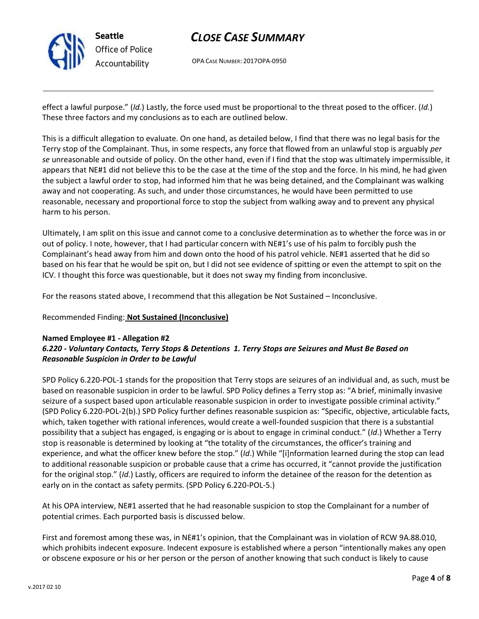

## *CLOSE CASE SUMMARY*

OPA CASE NUMBER: 2017OPA-0950

effect a lawful purpose." (*Id.*) Lastly, the force used must be proportional to the threat posed to the officer. (*Id.*) These three factors and my conclusions as to each are outlined below.

This is a difficult allegation to evaluate. On one hand, as detailed below, I find that there was no legal basis for the Terry stop of the Complainant. Thus, in some respects, any force that flowed from an unlawful stop is arguably *per se* unreasonable and outside of policy. On the other hand, even if I find that the stop was ultimately impermissible, it appears that NE#1 did not believe this to be the case at the time of the stop and the force. In his mind, he had given the subject a lawful order to stop, had informed him that he was being detained, and the Complainant was walking away and not cooperating. As such, and under those circumstances, he would have been permitted to use reasonable, necessary and proportional force to stop the subject from walking away and to prevent any physical harm to his person.

Ultimately, I am split on this issue and cannot come to a conclusive determination as to whether the force was in or out of policy. I note, however, that I had particular concern with NE#1's use of his palm to forcibly push the Complainant's head away from him and down onto the hood of his patrol vehicle. NE#1 asserted that he did so based on his fear that he would be spit on, but I did not see evidence of spitting or even the attempt to spit on the ICV. I thought this force was questionable, but it does not sway my finding from inconclusive.

For the reasons stated above, I recommend that this allegation be Not Sustained – Inconclusive.

Recommended Finding: **Not Sustained (Inconclusive)**

### **Named Employee #1 - Allegation #2**

### *6.220 - Voluntary Contacts, Terry Stops & Detentions 1. Terry Stops are Seizures and Must Be Based on Reasonable Suspicion in Order to be Lawful*

SPD Policy 6.220-POL-1 stands for the proposition that Terry stops are seizures of an individual and, as such, must be based on reasonable suspicion in order to be lawful. SPD Policy defines a Terry stop as: "A brief, minimally invasive seizure of a suspect based upon articulable reasonable suspicion in order to investigate possible criminal activity." (SPD Policy 6.220-POL-2(b).) SPD Policy further defines reasonable suspicion as: "Specific, objective, articulable facts, which, taken together with rational inferences, would create a well-founded suspicion that there is a substantial possibility that a subject has engaged, is engaging or is about to engage in criminal conduct." (*Id*.) Whether a Terry stop is reasonable is determined by looking at "the totality of the circumstances, the officer's training and experience, and what the officer knew before the stop." (*Id*.) While "[i]nformation learned during the stop can lead to additional reasonable suspicion or probable cause that a crime has occurred, it "cannot provide the justification for the original stop." (*Id*.) Lastly, officers are required to inform the detainee of the reason for the detention as early on in the contact as safety permits. (SPD Policy 6.220-POL-5.)

At his OPA interview, NE#1 asserted that he had reasonable suspicion to stop the Complainant for a number of potential crimes. Each purported basis is discussed below.

First and foremost among these was, in NE#1's opinion, that the Complainant was in violation of RCW 9A.88.010, which prohibits indecent exposure. Indecent exposure is established where a person "intentionally makes any open or obscene exposure or his or her person or the person of another knowing that such conduct is likely to cause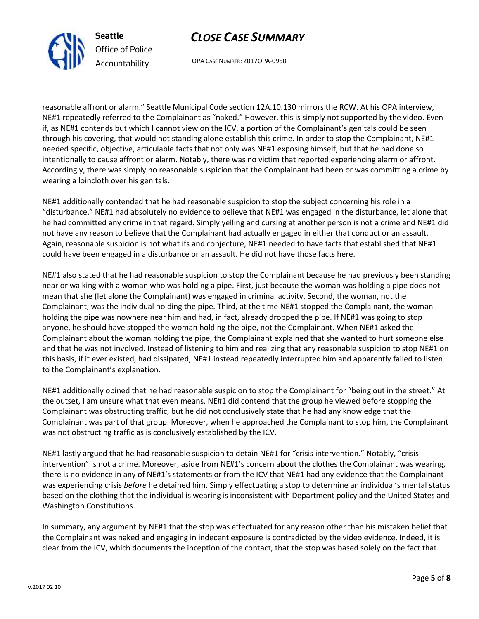



OPA CASE NUMBER: 2017OPA-0950

reasonable affront or alarm." Seattle Municipal Code section 12A.10.130 mirrors the RCW. At his OPA interview, NE#1 repeatedly referred to the Complainant as "naked." However, this is simply not supported by the video. Even if, as NE#1 contends but which I cannot view on the ICV, a portion of the Complainant's genitals could be seen through his covering, that would not standing alone establish this crime. In order to stop the Complainant, NE#1 needed specific, objective, articulable facts that not only was NE#1 exposing himself, but that he had done so intentionally to cause affront or alarm. Notably, there was no victim that reported experiencing alarm or affront. Accordingly, there was simply no reasonable suspicion that the Complainant had been or was committing a crime by wearing a loincloth over his genitals.

NE#1 additionally contended that he had reasonable suspicion to stop the subject concerning his role in a "disturbance." NE#1 had absolutely no evidence to believe that NE#1 was engaged in the disturbance, let alone that he had committed any crime in that regard. Simply yelling and cursing at another person is not a crime and NE#1 did not have any reason to believe that the Complainant had actually engaged in either that conduct or an assault. Again, reasonable suspicion is not what ifs and conjecture, NE#1 needed to have facts that established that NE#1 could have been engaged in a disturbance or an assault. He did not have those facts here.

NE#1 also stated that he had reasonable suspicion to stop the Complainant because he had previously been standing near or walking with a woman who was holding a pipe. First, just because the woman was holding a pipe does not mean that she (let alone the Complainant) was engaged in criminal activity. Second, the woman, not the Complainant, was the individual holding the pipe. Third, at the time NE#1 stopped the Complainant, the woman holding the pipe was nowhere near him and had, in fact, already dropped the pipe. If NE#1 was going to stop anyone, he should have stopped the woman holding the pipe, not the Complainant. When NE#1 asked the Complainant about the woman holding the pipe, the Complainant explained that she wanted to hurt someone else and that he was not involved. Instead of listening to him and realizing that any reasonable suspicion to stop NE#1 on this basis, if it ever existed, had dissipated, NE#1 instead repeatedly interrupted him and apparently failed to listen to the Complainant's explanation.

NE#1 additionally opined that he had reasonable suspicion to stop the Complainant for "being out in the street." At the outset, I am unsure what that even means. NE#1 did contend that the group he viewed before stopping the Complainant was obstructing traffic, but he did not conclusively state that he had any knowledge that the Complainant was part of that group. Moreover, when he approached the Complainant to stop him, the Complainant was not obstructing traffic as is conclusively established by the ICV.

NE#1 lastly argued that he had reasonable suspicion to detain NE#1 for "crisis intervention." Notably, "crisis intervention" is not a crime. Moreover, aside from NE#1's concern about the clothes the Complainant was wearing, there is no evidence in any of NE#1's statements or from the ICV that NE#1 had any evidence that the Complainant was experiencing crisis *before* he detained him. Simply effectuating a stop to determine an individual's mental status based on the clothing that the individual is wearing is inconsistent with Department policy and the United States and Washington Constitutions.

In summary, any argument by NE#1 that the stop was effectuated for any reason other than his mistaken belief that the Complainant was naked and engaging in indecent exposure is contradicted by the video evidence. Indeed, it is clear from the ICV, which documents the inception of the contact, that the stop was based solely on the fact that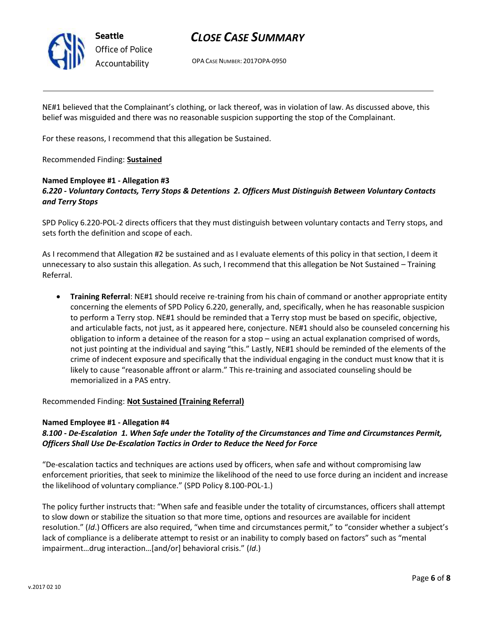

### *CLOSE CASE SUMMARY*

OPA CASE NUMBER: 2017OPA-0950

NE#1 believed that the Complainant's clothing, or lack thereof, was in violation of law. As discussed above, this belief was misguided and there was no reasonable suspicion supporting the stop of the Complainant.

For these reasons, I recommend that this allegation be Sustained.

Recommended Finding: **Sustained**

#### **Named Employee #1 - Allegation #3** *6.220 - Voluntary Contacts, Terry Stops & Detentions 2. Officers Must Distinguish Between Voluntary Contacts and Terry Stops*

SPD Policy 6.220-POL-2 directs officers that they must distinguish between voluntary contacts and Terry stops, and sets forth the definition and scope of each.

As I recommend that Allegation #2 be sustained and as I evaluate elements of this policy in that section, I deem it unnecessary to also sustain this allegation. As such, I recommend that this allegation be Not Sustained – Training Referral.

• **Training Referral**: NE#1 should receive re-training from his chain of command or another appropriate entity concerning the elements of SPD Policy 6.220, generally, and, specifically, when he has reasonable suspicion to perform a Terry stop. NE#1 should be reminded that a Terry stop must be based on specific, objective, and articulable facts, not just, as it appeared here, conjecture. NE#1 should also be counseled concerning his obligation to inform a detainee of the reason for a stop – using an actual explanation comprised of words, not just pointing at the individual and saying "this." Lastly, NE#1 should be reminded of the elements of the crime of indecent exposure and specifically that the individual engaging in the conduct must know that it is likely to cause "reasonable affront or alarm." This re-training and associated counseling should be memorialized in a PAS entry.

Recommended Finding: **Not Sustained (Training Referral)**

### **Named Employee #1 - Allegation #4**

### *8.100 - De-Escalation 1. When Safe under the Totality of the Circumstances and Time and Circumstances Permit, Officers Shall Use De-Escalation Tactics in Order to Reduce the Need for Force*

"De-escalation tactics and techniques are actions used by officers, when safe and without compromising law enforcement priorities, that seek to minimize the likelihood of the need to use force during an incident and increase the likelihood of voluntary compliance." (SPD Policy 8.100-POL-1.)

The policy further instructs that: "When safe and feasible under the totality of circumstances, officers shall attempt to slow down or stabilize the situation so that more time, options and resources are available for incident resolution." (*Id*.) Officers are also required, "when time and circumstances permit," to "consider whether a subject's lack of compliance is a deliberate attempt to resist or an inability to comply based on factors" such as "mental impairment…drug interaction…[and/or] behavioral crisis." (*Id*.)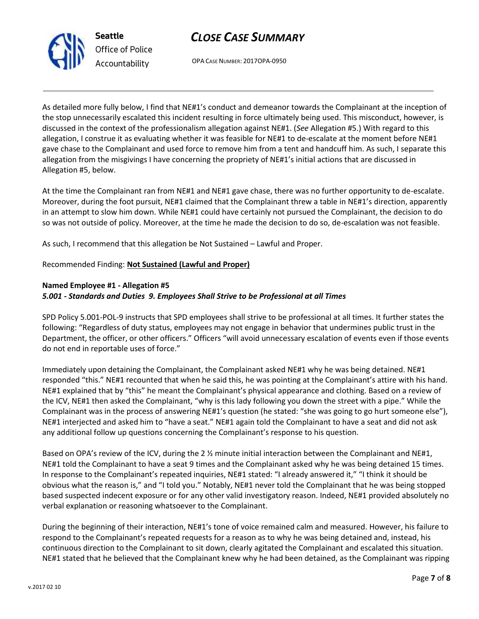



OPA CASE NUMBER: 2017OPA-0950

As detailed more fully below, I find that NE#1's conduct and demeanor towards the Complainant at the inception of the stop unnecessarily escalated this incident resulting in force ultimately being used. This misconduct, however, is discussed in the context of the professionalism allegation against NE#1. (*See* Allegation #5.) With regard to this allegation, I construe it as evaluating whether it was feasible for NE#1 to de-escalate at the moment before NE#1 gave chase to the Complainant and used force to remove him from a tent and handcuff him. As such, I separate this allegation from the misgivings I have concerning the propriety of NE#1's initial actions that are discussed in Allegation #5, below.

At the time the Complainant ran from NE#1 and NE#1 gave chase, there was no further opportunity to de-escalate. Moreover, during the foot pursuit, NE#1 claimed that the Complainant threw a table in NE#1's direction, apparently in an attempt to slow him down. While NE#1 could have certainly not pursued the Complainant, the decision to do so was not outside of policy. Moreover, at the time he made the decision to do so, de-escalation was not feasible.

As such, I recommend that this allegation be Not Sustained – Lawful and Proper.

#### Recommended Finding: **Not Sustained (Lawful and Proper)**

#### **Named Employee #1 - Allegation #5** *5.001 - Standards and Duties 9. Employees Shall Strive to be Professional at all Times*

SPD Policy 5.001-POL-9 instructs that SPD employees shall strive to be professional at all times. It further states the following: "Regardless of duty status, employees may not engage in behavior that undermines public trust in the Department, the officer, or other officers." Officers "will avoid unnecessary escalation of events even if those events do not end in reportable uses of force."

Immediately upon detaining the Complainant, the Complainant asked NE#1 why he was being detained. NE#1 responded "this." NE#1 recounted that when he said this, he was pointing at the Complainant's attire with his hand. NE#1 explained that by "this" he meant the Complainant's physical appearance and clothing. Based on a review of the ICV, NE#1 then asked the Complainant, "why is this lady following you down the street with a pipe." While the Complainant was in the process of answering NE#1's question (he stated: "she was going to go hurt someone else"), NE#1 interjected and asked him to "have a seat." NE#1 again told the Complainant to have a seat and did not ask any additional follow up questions concerning the Complainant's response to his question.

Based on OPA's review of the ICV, during the 2 % minute initial interaction between the Complainant and NE#1, NE#1 told the Complainant to have a seat 9 times and the Complainant asked why he was being detained 15 times. In response to the Complainant's repeated inquiries, NE#1 stated: "I already answered it," "I think it should be obvious what the reason is," and "I told you." Notably, NE#1 never told the Complainant that he was being stopped based suspected indecent exposure or for any other valid investigatory reason. Indeed, NE#1 provided absolutely no verbal explanation or reasoning whatsoever to the Complainant.

During the beginning of their interaction, NE#1's tone of voice remained calm and measured. However, his failure to respond to the Complainant's repeated requests for a reason as to why he was being detained and, instead, his continuous direction to the Complainant to sit down, clearly agitated the Complainant and escalated this situation. NE#1 stated that he believed that the Complainant knew why he had been detained, as the Complainant was ripping